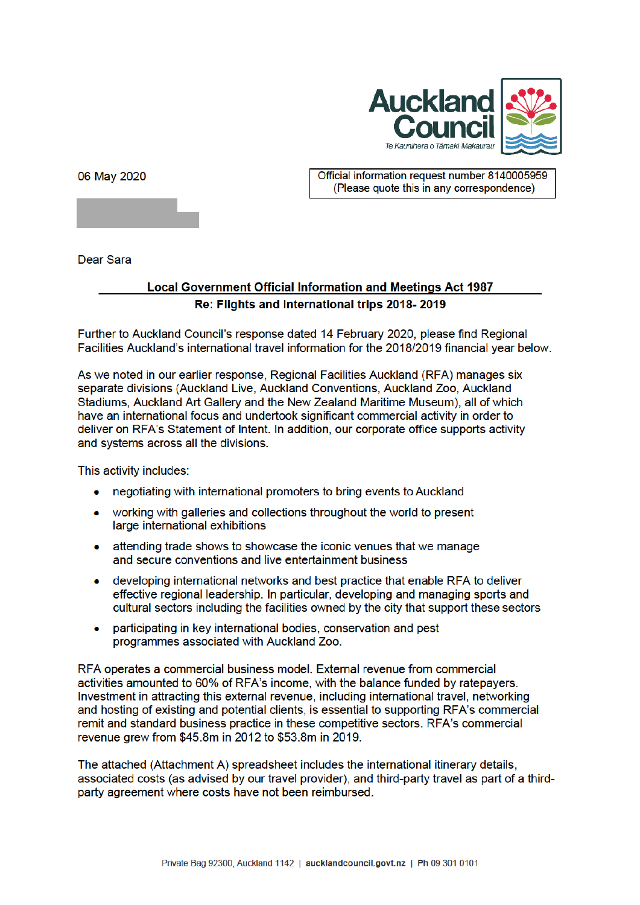

06 May 2020

Official information request number 8140005959 (Please quote this in any correspondence)

Dear Sara

## **Local Government Official Information and Meetings Act 1987** Re: Flights and International trips 2018-2019

Further to Auckland Council's response dated 14 February 2020, please find Regional Facilities Auckland's international travel information for the 2018/2019 financial year below.

As we noted in our earlier response, Regional Facilities Auckland (RFA) manages six separate divisions (Auckland Live, Auckland Conventions, Auckland Zoo, Auckland Stadiums, Auckland Art Gallery and the New Zealand Maritime Museum), all of which have an international focus and undertook significant commercial activity in order to deliver on RFA's Statement of Intent. In addition, our corporate office supports activity and systems across all the divisions.

This activity includes:

- negotiating with international promoters to bring events to Auckland
- working with galleries and collections throughout the world to present large international exhibitions
- attending trade shows to showcase the iconic venues that we manage and secure conventions and live entertainment business
- developing international networks and best practice that enable RFA to deliver effective regional leadership. In particular, developing and managing sports and cultural sectors including the facilities owned by the city that support these sectors
- participating in key international bodies, conservation and pest  $\bullet$ programmes associated with Auckland Zoo.

RFA operates a commercial business model. External revenue from commercial activities amounted to 60% of RFA's income, with the balance funded by ratepayers. Investment in attracting this external revenue, including international travel, networking and hosting of existing and potential clients, is essential to supporting RFA's commercial remit and standard business practice in these competitive sectors. RFA's commercial revenue arew from \$45.8m in 2012 to \$53.8m in 2019.

The attached (Attachment A) spreadsheet includes the international itinerary details, associated costs (as advised by our travel provider), and third-party travel as part of a thirdparty agreement where costs have not been reimbursed.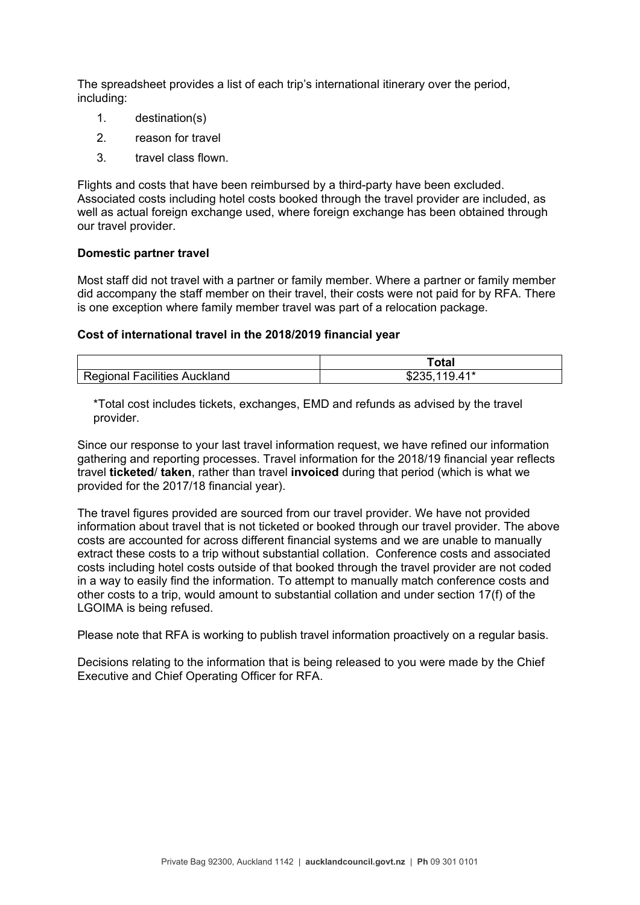The spreadsheet provides a list of each trip's international itinerary over the period, including:

- 1. destination(s)
- 2. reason for travel
- 3. travel class flown.

Flights and costs that have been reimbursed by a third-party have been excluded. Associated costs including hotel costs booked through the travel provider are included, as well as actual foreign exchange used, where foreign exchange has been obtained through our travel provider.

## **Domestic partner travel**

Most staff did not travel with a partner or family member. Where a partner or family member did accompany the staff member on their travel, their costs were not paid for by RFA. There is one exception where family member travel was part of a relocation package.

## **Cost of international travel in the 2018/2019 financial year**

|                                                | ^+^<br>υιαι     |
|------------------------------------------------|-----------------|
| Regional<br>ıckland<br><b>Facilities</b><br>Au | 41*<br>u<br>ب∠ت |

\*Total cost includes tickets, exchanges, EMD and refunds as advised by the travel provider.

Since our response to your last travel information request, we have refined our information gathering and reporting processes. Travel information for the 2018/19 financial year reflects travel **ticketed**/ **taken**, rather than travel **invoiced** during that period (which is what we provided for the 2017/18 financial year).

The travel figures provided are sourced from our travel provider. We have not provided information about travel that is not ticketed or booked through our travel provider. The above costs are accounted for across different financial systems and we are unable to manually extract these costs to a trip without substantial collation. Conference costs and associated costs including hotel costs outside of that booked through the travel provider are not coded in a way to easily find the information. To attempt to manually match conference costs and other costs to a trip, would amount to substantial collation and under section 17(f) of the LGOIMA is being refused.

Please note that RFA is working to publish travel information proactively on a regular basis.

Decisions relating to the information that is being released to you were made by the Chief Executive and Chief Operating Officer for RFA.